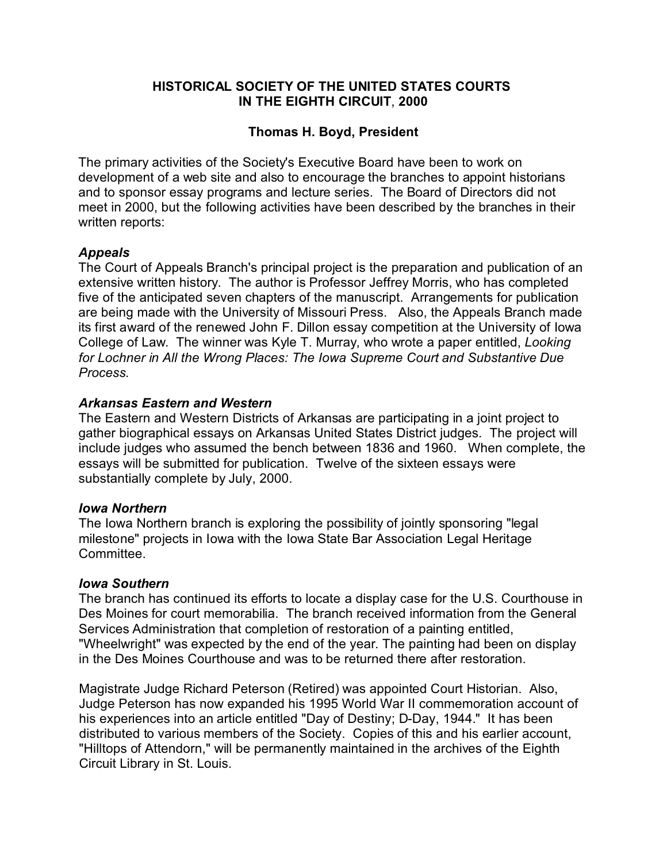# **HISTORICAL SOCIETY OF THE UNITED STATES COURTS IN THE EIGHTH CIRCUIT**, **2000**

# **Thomas H. Boyd, President**

The primary activities of the Society's Executive Board have been to work on development of a web site and also to encourage the branches to appoint historians and to sponsor essay programs and lecture series. The Board of Directors did not meet in 2000, but the following activities have been described by the branches in their written reports:

# *Appeals*

The Court of Appeals Branch's principal project is the preparation and publication of an extensive written history. The author is Professor Jeffrey Morris, who has completed five of the anticipated seven chapters of the manuscript. Arrangements for publication are being made with the University of Missouri Press. Also, the Appeals Branch made its first award of the renewed John F. Dillon essay competition at the University of Iowa College of Law. The winner was Kyle T. Murray, who wrote a paper entitled, *Looking for Lochner in All the Wrong Places: The Iowa Supreme Court and Substantive Due Process.*

# *Arkansas Eastern and Western*

The Eastern and Western Districts of Arkansas are participating in a joint project to gather biographical essays on Arkansas United States District judges. The project will include judges who assumed the bench between 1836 and 1960. When complete, the essays will be submitted for publication. Twelve of the sixteen essays were substantially complete by July, 2000.

## *Iowa Northern*

The Iowa Northern branch is exploring the possibility of jointly sponsoring "legal milestone" projects in Iowa with the Iowa State Bar Association Legal Heritage Committee.

## *Iowa Southern*

The branch has continued its efforts to locate a display case for the U.S. Courthouse in Des Moines for court memorabilia. The branch received information from the General Services Administration that completion of restoration of a painting entitled, "Wheelwright" was expected by the end of the year. The painting had been on display in the Des Moines Courthouse and was to be returned there after restoration.

Magistrate Judge Richard Peterson (Retired) was appointed Court Historian. Also, Judge Peterson has now expanded his 1995 World War II commemoration account of his experiences into an article entitled "Day of Destiny; D-Day, 1944." It has been distributed to various members of the Society. Copies of this and his earlier account, "Hilltops of Attendorn," will be permanently maintained in the archives of the Eighth Circuit Library in St. Louis.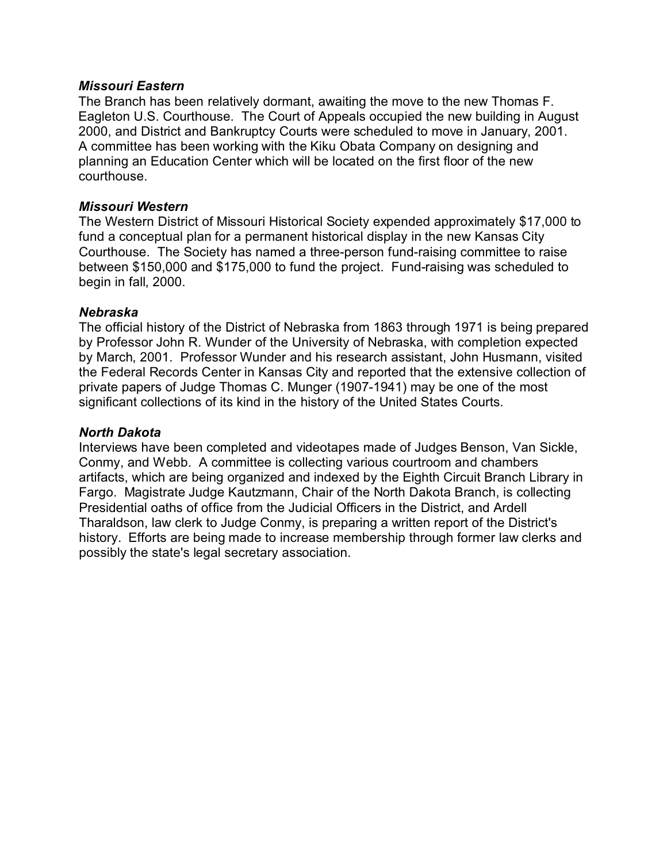## *Missouri Eastern*

The Branch has been relatively dormant, awaiting the move to the new Thomas F. Eagleton U.S. Courthouse. The Court of Appeals occupied the new building in August 2000, and District and Bankruptcy Courts were scheduled to move in January, 2001. A committee has been working with the Kiku Obata Company on designing and planning an Education Center which will be located on the first floor of the new courthouse.

# *Missouri Western*

The Western District of Missouri Historical Society expended approximately \$17,000 to fund a conceptual plan for a permanent historical display in the new Kansas City Courthouse. The Society has named a three-person fund-raising committee to raise between \$150,000 and \$175,000 to fund the project. Fund-raising was scheduled to begin in fall, 2000.

# *Nebraska*

The official history of the District of Nebraska from 1863 through 1971 is being prepared by Professor John R. Wunder of the University of Nebraska, with completion expected by March, 2001. Professor Wunder and his research assistant, John Husmann, visited the Federal Records Center in Kansas City and reported that the extensive collection of private papers of Judge Thomas C. Munger (1907-1941) may be one of the most significant collections of its kind in the history of the United States Courts.

## *North Dakota*

Interviews have been completed and videotapes made of Judges Benson, Van Sickle, Conmy, and Webb. A committee is collecting various courtroom and chambers artifacts, which are being organized and indexed by the Eighth Circuit Branch Library in Fargo. Magistrate Judge Kautzmann, Chair of the North Dakota Branch, is collecting Presidential oaths of office from the Judicial Officers in the District, and Ardell Tharaldson, law clerk to Judge Conmy, is preparing a written report of the District's history. Efforts are being made to increase membership through former law clerks and possibly the state's legal secretary association.